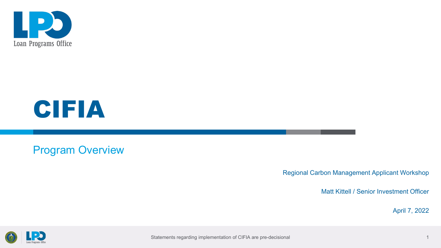



### Program Overview

Regional Carbon Management Applicant Workshop

Matt Kittell / Senior Investment Officer

April 7, 2022



Statements regarding implementation of CIFIA are pre-decisional 1 and 1 and 1 and 1 and 1 and 1 and 1 and 1 and 1 and 1 and 1 and 1 and 1 and 1 and 1 and 1 and 1 and 1 and 1 and 1 and 1 and 1 and 1 and 1 and 1 and 1 and 1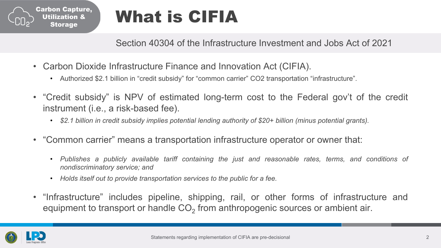

## What is CIFIA

Section 40304 of the Infrastructure Investment and Jobs Act of 2021

- Carbon Dioxide Infrastructure Finance and Innovation Act (CIFIA).
	- Authorized \$2.1 billion in "credit subsidy" for "common carrier" CO2 transportation "infrastructure".
- "Credit subsidy" is NPV of estimated long-term cost to the Federal gov't of the credit instrument (i.e., a risk-based fee).
	- *\$2.1 billion in credit subsidy implies potential lending authority of \$20+ billion (minus potential grants).*
- "Common carrier" means a transportation infrastructure operator or owner that:
	- *Publishes a publicly available tariff containing the just and reasonable rates, terms, and conditions of nondiscriminatory service; and*
	- *Holds itself out to provide transportation services to the public for a fee.*
- "Infrastructure" includes pipeline, shipping, rail, or other forms of infrastructure and equipment to transport or handle  $CO<sub>2</sub>$  from anthropogenic sources or ambient air.

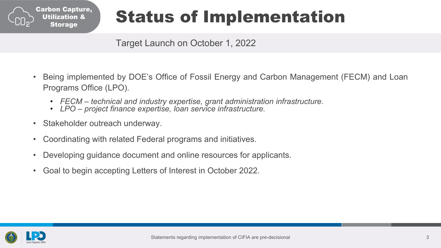

# Status of Implementation

Target Launch on October 1, 2022

- Being implemented by DOE's Office of Fossil Energy and Carbon Management (FECM) and Loan Programs Office (LPO).
	- FECM technical and industry expertise, grant administration infrastructure.<br>• LPO project finance expertise, loan service infrastructure.
	-
- Stakeholder outreach underway.
- Coordinating with related Federal programs and initiatives.
- Developing guidance document and online resources for applicants.
- Goal to begin accepting Letters of Interest in October 2022.

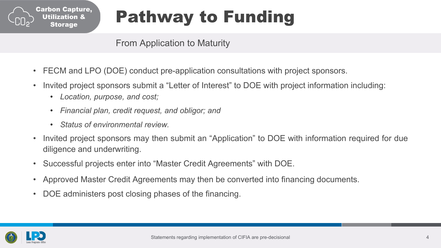

# Pathway to Funding

#### From Application to Maturity

- FECM and LPO (DOE) conduct pre-application consultations with project sponsors.
- Invited project sponsors submit a "Letter of Interest" to DOE with project information including:
	- *Location, purpose, and cost;*
	- *Financial plan, credit request, and obligor; and*
	- *Status of environmental review.*
- Invited project sponsors may then submit an "Application" to DOE with information required for due diligence and underwriting.
- Successful projects enter into "Master Credit Agreements" with DOE.
- Approved Master Credit Agreements may then be converted into financing documents.
- DOE administers post closing phases of the financing.

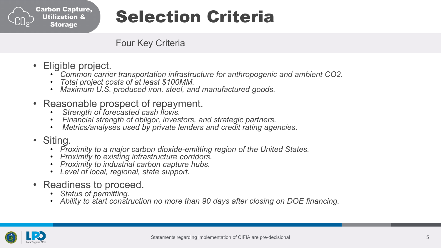

## Selection Criteria

Four Key Criteria

- 
- Eligible project.<br>• Common carrier transportation infrastructure for anthropogenic and ambient CO2.<br>• Total project costs of at least \$100MM.<br>• Maximum U.S. produced iron, steel, and manufactured goods.
	-
	-
- -
- Reasonable prospect of repayment.<br>• Strength of forecasted cash flows.<br>• Financial strength of obligor, investors, and strategic partners.<br>• Metrics/analyses used by private lenders and credit rating agencies.
	-
- 
- Siting.<br>• Proximity to a major carbon dioxide-emitting region of the United States.<br>• Proximity to existing infrastructure corridors.<br>• Proximity to industrial carbon capture hubs.<br>• Level of local, regional, state suppo
	-
	-
	-
- -
- Readiness to proceed.<br>• Status of permitting.<br>• Ability to start construction no more than 90 days after closing on DOE financing.

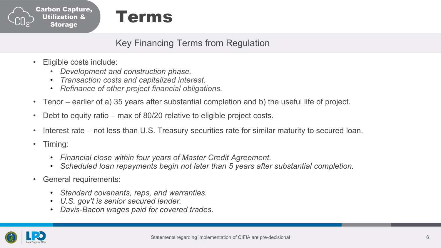



Key Financing Terms from Regulation

- Eligible costs include:
	- *Development and construction phase.*
	- *Transaction costs and capitalized interest.*
	- *Refinance of other project financial obligations.*
- Tenor earlier of a) 35 years after substantial completion and b) the useful life of project.
- Debt to equity ratio max of 80/20 relative to eligible project costs.
- Interest rate not less than U.S. Treasury securities rate for similar maturity to secured loan.
- Timing:
	- *Financial close within four years of Master Credit Agreement.*
	- *Scheduled loan repayments begin not later than 5 years after substantial completion.*
- General requirements:
	- *Standard covenants, reps, and warranties.*
	- *U.S. gov't is senior secured lender.*
	- *Davis-Bacon wages paid for covered trades.*